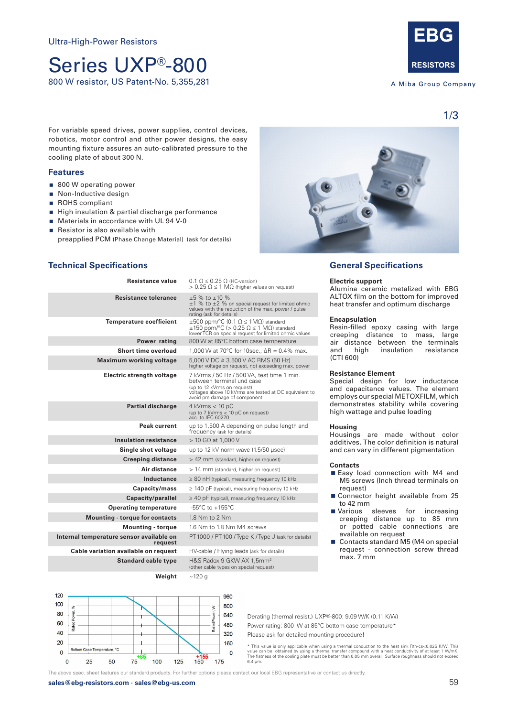# Series UXP®-800 800 W resistor, US Patent-No. 5,355,281



A Miba Group Company

1/3

For variable speed drives, power supplies, control devices, robotics, motor control and other power designs, the easy mounting fixture assures an auto-calibrated pressure to the cooling plate of about 300 N.

### **Features**

- 800 W operating power
- Non-Inductive design
- ROHS compliant
- High insulation & partial discharge performance
- Materials in accordance with UL 94 V-0
- $\blacksquare$  Resistor is also available with
	- preapplied PCM (Phase Change Material) (ask for details)



# **Technical Specifications**

| Resistance value                                    | $0.1 \Omega \leq 0.25 \Omega$ (HC-version)<br>$> 0.25 \Omega \le 1 \text{ M}\Omega$ (higher values on request)                                                                                    |  |
|-----------------------------------------------------|---------------------------------------------------------------------------------------------------------------------------------------------------------------------------------------------------|--|
| <b>Resistance tolerance</b>                         | $\pm 5$ % to $\pm 10$ %<br>±1 % to ±2 % on special request for limited ohmic<br>values with the reduction of the max, power / pulse<br>rating (ask for details)                                   |  |
| <b>Temperature coefficient</b>                      | $\pm 500$ ppm/°C (0.1 $\Omega \le 1$ M $\Omega$ ) standard<br>$\pm 150$ ppm/°C (> 0.25 $\Omega \le 1$ M $\Omega$ ) standard<br>lower TCR on special request for limited ohmic values              |  |
| Power rating                                        | 800 W at 85°C bottom case temperature                                                                                                                                                             |  |
| <b>Short time overload</b>                          | 1,000 W at 70°C for 10sec., $\Delta R = 0.4\%$ max.                                                                                                                                               |  |
| <b>Maximum working voltage</b>                      | $5.000$ V DC $\triangleq 3.500$ V AC RMS (50 Hz)<br>higher voltage on request, not exceeding max. power                                                                                           |  |
| Electric strength voltage                           | 7 kVrms / 50 Hz / 500 VA, test time 1 min.<br>between terminal und case<br>(up to 12 kVrms on request)<br>voltages above 10 kVrms are tested at DC equivalent to<br>avoid pre damage of component |  |
| <b>Partial discharge</b>                            | $4$ kVrms $< 10$ pC<br>(up to 7 kVrms < 10 pC on request)<br>acc. to IEC 60270                                                                                                                    |  |
| Peak current                                        | up to 1,500 A depending on pulse length and<br>frequency (ask for details)                                                                                                                        |  |
| <b>Insulation resistance</b>                        | $> 10$ G $\Omega$ at 1,000 V                                                                                                                                                                      |  |
| Single shot voltage                                 | up to 12 kV norm wave (1.5/50 usec)                                                                                                                                                               |  |
| <b>Creeping distance</b>                            | > 42 mm (standard, higher on request)                                                                                                                                                             |  |
| Air distance                                        | > 14 mm (standard, higher on request)                                                                                                                                                             |  |
| Inductance                                          | $\geq$ 80 nH (typical), measuring frequency 10 kHz                                                                                                                                                |  |
| Capacity/mass                                       | $\geq$ 140 pF (typical), measuring frequency 10 kHz                                                                                                                                               |  |
| Capacity/parallel                                   | $\geq$ 40 pF (typical), measuring frequency 10 kHz                                                                                                                                                |  |
| <b>Operating temperature</b>                        | $-55^{\circ}$ C to $+155^{\circ}$ C                                                                                                                                                               |  |
| <b>Mounting - torque for contacts</b>               | 1.8 Nm to 2 Nm                                                                                                                                                                                    |  |
| <b>Mounting - torque</b>                            | 1.6 Nm to 1.8 Nm M4 screws                                                                                                                                                                        |  |
| Internal temperature sensor available on<br>request | PT-1000 / PT-100 / Type K / Type J (ask for details)                                                                                                                                              |  |
| Cable variation available on request                | HV-cable / Flying leads (ask for details)                                                                                                                                                         |  |
| <b>Standard cable type</b>                          | H&S Radox 9 GKW AX 1,5mm <sup>2</sup><br>(other cable types on special request)                                                                                                                   |  |

**Weight** ~120 g

## **General Specifications**

#### **Electric support**

Alumina ceramic metalized with EBG ALTOX film on the bottom for improved heat transfer and optimum discharge

#### **Encapsulation**

Resin-filled epoxy casing with large creeping distance to mass, large air distance between the terminals<br>and high insulation resistance insulation resistance (CTI 600)

#### **Resistance Element**

Special design for low inductance and capacitance values. The element employs our special METOXFILM, which demonstrates stability while covering high wattage and pulse loading

#### **Housing**

Housings are made without color additives. The color definition is natural and can vary in different pigmentation

#### **Contacts**

- Easy load connection with M4 and M5 screws (Inch thread terminals on request)
- Connector height available from 25 to 42 mm
- **Narious** sleeves for increasing creeping distance up to 85 mm or potted cable connections are available on request
- Contacts standard M5 (M4 on special request - connection screw thread max. 7 mm



Derating (thermal resist.) UXP®-800: 9.09 W/K (0.11 K/W) Power rating: 800 W at 85°C bottom case temperature\* Please ask for detailed mounting procedure!

\* This value is only applicable when using a thermal conduction to the heat sink Rth-cs<0.025 K/W. This<br>value can be obtained by using a thermal transfer compound with a heat conductivity of at least 1 W/mK.<br>The flatness 6.4 μm.

The above spec. sheet features our standard products. For further options please contact our local EBG representative or contact us directly.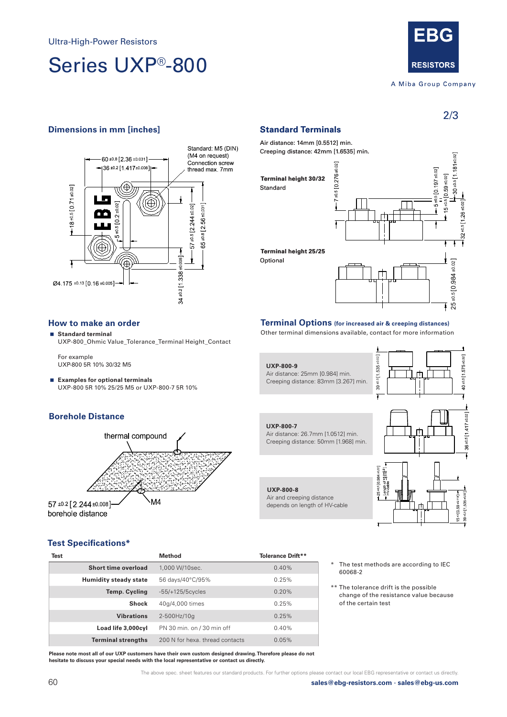# Series UXP®-800



A Miba Group Company

2/3

# **Dimensions in mm [inches] Standard Terminals**



# **How to make an order**

 **Standard terminal** UXP-800\_Ohmic Value\_Tolerance\_Terminal Height\_Contact

For example UXP-800 5R 10% 30/32 M5

 **Examples for optional terminals** UXP-800 5R 10% 25/25 M5 or UXP-800-7 5R 10%

# **Borehole Distance**



Air distance: 14mm [0.5512] min. Creeping distance: 42mm [1.6535] min.  $30*0*11*181*0*2$  $-0.5$  [0 276 $\pm 0.02$ ]  $-5 \pm 0.5$  [0.197 $\pm 0.02$ ]  $15+0.5$  [0 59 +0 02] **Terminal height 30/32** Standard **Terminal height 25/25** 39 ±0.5 1.535 ±0.02 ] Optional Optional<br>
Optional<br>
Other terminal Options (for increased air & creeping distances)<br>
Other terminal dimensions available, contact for more information

# **Terminal Options (for increased air & creeping distances)**



# **Test Specifications\***

| Test |                              | Method                          | <b>Tolerance Drift**</b> |
|------|------------------------------|---------------------------------|--------------------------|
|      | Short time overload          | 1,000 W/10sec.                  | 0.40%                    |
|      | <b>Humidity steady state</b> | 56 days/40°C/95%                | 0.25%                    |
|      | Temp. Cycling                | $-55/+125/5cycles$              | 0.20%                    |
|      | <b>Shock</b>                 | 40q/4,000 times                 | 0.25%                    |
|      | <b>Vibrations</b>            | 2-500Hz/10q                     | 0.25%                    |
|      | Load life 3,000cyl           | PN 30 min. on / 30 min off      | 0.40%                    |
|      | <b>Terminal strengths</b>    | 200 N for hexa, thread contacts | 0.05%                    |

**Please note most all of our UXP customers have their own custom designed drawing. Therefore please do not hesitate to discuss your special needs with the local representative or contact us directly.**

\*\* The tolerance drift is the possible

60068-2

change of the resistance value because of the certain test

The test methods are according to IEC

The above spec. sheet features our standard products. For further options please contact our local EBG representative or contact us directly.